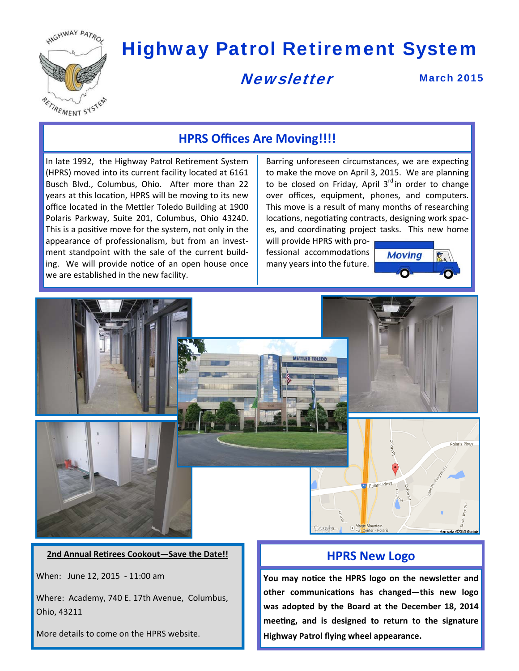

# Highway Patrol Retirement System

## **Newsletter**

March 2015

## **HPRS Offices Are Moving!!!!**

In late 1992, the Highway Patrol Retirement System (HPRS) moved into its current facility located at 6161 Busch Blvd., Columbus, Ohio. After more than 22 years at this location, HPRS will be moving to its new office located in the Mettler Toledo Building at 1900 Polaris Parkway, Suite 201, Columbus, Ohio 43240. This is a positive move for the system, not only in the appearance of professionalism, but from an invest‐ ment standpoint with the sale of the current build‐ ing. We will provide notice of an open house once we are established in the new facility.

Barring unforeseen circumstances, we are expecting to make the move on April 3, 2015. We are planning to be closed on Friday, April  $3<sup>rd</sup>$  in order to change over offices, equipment, phones, and computers. This move is a result of many months of researching locations, negotiating contracts, designing work spaces, and coordinating project tasks. This new home

will provide HPRS with pro‐ fessional accommodations many years into the future.

ETTLED TOLEDO



Polaris Pkwy

ata @001510



When: June 12, 2015 ‐ 11:00 am

Where: Academy, 740 E. 17th Avenue, Columbus, Ohio, 43211

More details to come on the HPRS website.

Polaris Pkw

**You may noƟce the HPRS logo on the newsleƩer and other communicaƟons has changed—this new logo was adopted by the Board at the December 18, 2014 meeƟng, and is designed to return to the signature Highway Patrol flying wheel appearance.**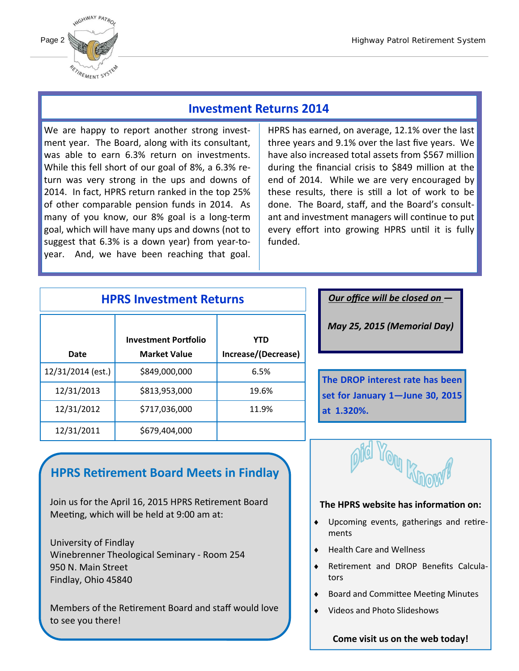

## **Investment Returns 2014**

We are happy to report another strong investment year. The Board, along with its consultant, was able to earn 6.3% return on investments. While this fell short of our goal of 8%, a 6.3% re‐ turn was very strong in the ups and downs of 2014. In fact, HPRS return ranked in the top 25% of other comparable pension funds in 2014. As many of you know, our 8% goal is a long‐term goal, which will have many ups and downs (not to suggest that 6.3% is a down year) from year‐to‐ year. And, we have been reaching that goal.

HPRS has earned, on average, 12.1% over the last three years and 9.1% over the last five years. We have also increased total assets from \$567 million during the financial crisis to \$849 million at the end of 2014. While we are very encouraged by these results, there is still a lot of work to be done. The Board, staff, and the Board's consult‐ ant and investment managers will continue to put every effort into growing HPRS until it is fully funded.

## **HPRS Investment Returns**

|                   | <b>Investment Portfolio</b> | YTD                 |                |
|-------------------|-----------------------------|---------------------|----------------|
| Date              | <b>Market Value</b>         | Increase/(Decrease) |                |
| 12/31/2014 (est.) | \$849,000,000               | 6.5%                | т              |
| 12/31/2013        | \$813,953,000               | 19.6%               | S(             |
| 12/31/2012        | \$717,036,000               | 11.9%               | a <sup>-</sup> |
| 12/31/2011        | \$679,404,000               |                     |                |

## **HPRS ReƟrement Board Meets in Findlay**

Join us for the April 16, 2015 HPRS Retirement Board Meeting, which will be held at  $9:00$  am at:

University of Findlay Winebrenner Theological Seminary ‐ Room 254 950 N. Main Street Findlay, Ohio 45840

Members of the Retirement Board and staff would love to see you there!

*Our office will be closed on —*

*May 25, 2015 (Memorial Day)*

**The DROP interest rate has been set for January 1—June 30, 2015 at 1.320%.** 



#### **The HPRS website has informaƟon on:**

- ◆ Upcoming events, gatherings and retirements
- ◆ Health Care and Wellness
- ◆ Retirement and DROP Benefits Calculators
- ◆ Board and Committee Meeting Minutes
- Videos and Photo Slideshows

**Come visit us on the web today!**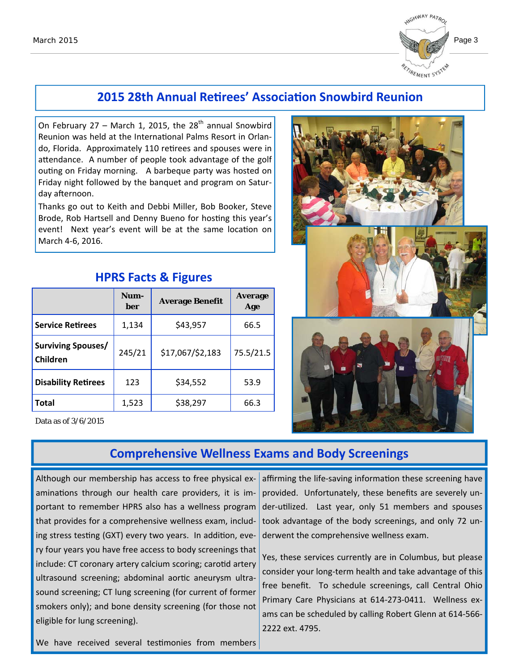

## **2015 28th Annual ReƟrees' AssociaƟon Snowbird Reunion**

On February 27 – March 1, 2015, the  $28<sup>th</sup>$  annual Snowbird Reunion was held at the International Palms Resort in Orlando, Florida. Approximately 110 retirees and spouses were in attendance. A number of people took advantage of the golf outing on Friday morning. A barbeque party was hosted on Friday night followed by the banquet and program on Satur‐ day afternoon.

Thanks go out to Keith and Debbi Miller, Bob Booker, Steve Brode, Rob Hartsell and Denny Bueno for hosting this year's event! Next year's event will be at the same location on March 4‐6, 2016.

|                                       | Num-<br>ber | <b>Average Benefit</b> | <b>Average</b><br>Age |
|---------------------------------------|-------------|------------------------|-----------------------|
| <b>Service Retirees</b>               | 1,134       | \$43,957               | 66.5                  |
| <b>Surviving Spouses/</b><br>Children | 245/21      | \$17,067/\$2,183       | 75.5/21.5             |
| <b>Disability Retirees</b>            | 123         | \$34,552               | 53.9                  |
| <b>Total</b>                          | 1,523       | \$38,297               | 66.3                  |

#### **HPRS Facts & Figures**

Data as of 3/6/2015



#### **Comprehensive Wellness Exams and Body Screenings**

Although our membership has access to free physical ex‐ aminations through our health care providers, it is important to remember HPRS also has a wellness program that provides for a comprehensive wellness exam, includ‐ ing stress testing (GXT) every two years. In addition, every four years you have free access to body screenings that include: CT coronary artery calcium scoring; carotid artery ultrasound screening; abdominal aortic aneurysm ultrasound screening; CT lung screening (for current of former smokers only); and bone density screening (for those not eligible for lung screening).

affirming the life-saving information these screening have provided. Unfortunately, these benefits are severely un‐ der-utilized. Last year, only 51 members and spouses took advantage of the body screenings, and only 72 un‐ derwent the comprehensive wellness exam.

Yes, these services currently are in Columbus, but please consider your long‐term health and take advantage of this free benefit. To schedule screenings, call Central Ohio Primary Care Physicians at 614‐273‐0411. Wellness ex‐ ams can be scheduled by calling Robert Glenn at 614‐566‐ 2222 ext. 4795.

We have received several testimonies from members